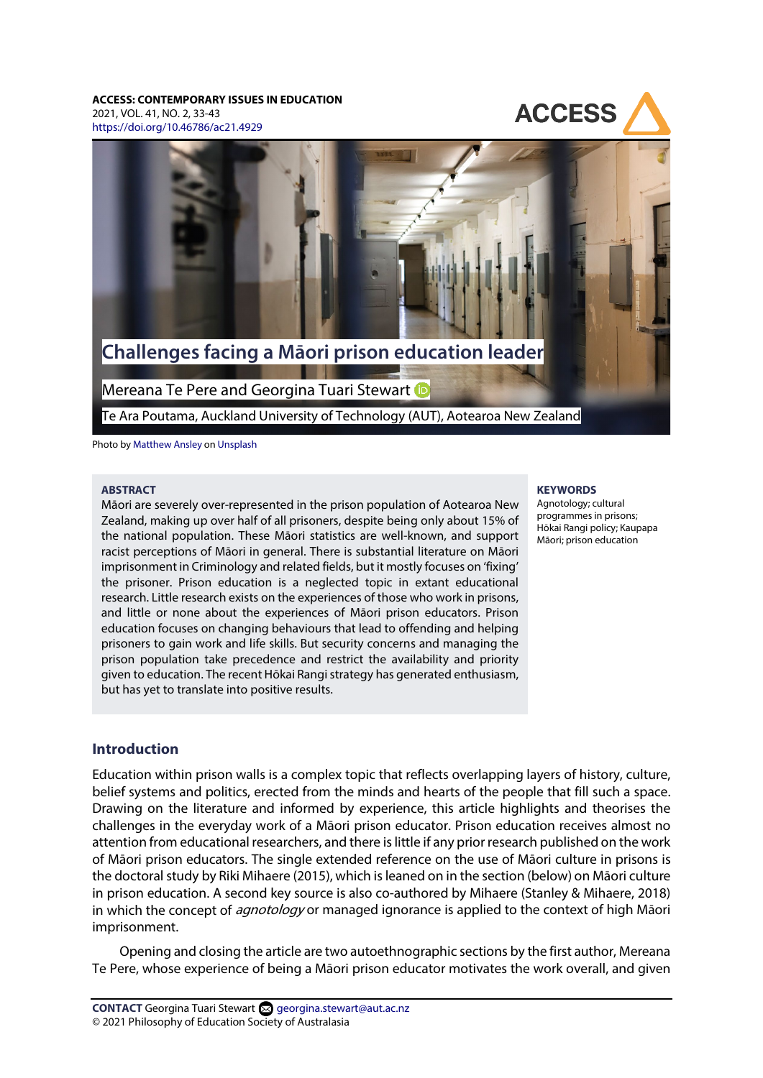#### **ACCESS: CONTEMPORARY ISSUES IN EDUCATION**

2021, VOL. 41, NO. 2, 33-43 <https://doi.org/10.46786/ac21.4929>





Te Ara Poutama, Auckland University of Technology (AUT), Aotearoa New Zealand

Photo by [Matthew Ansley](https://unsplash.com/@ansleycreative) on [Unsplash](https://unsplash.com/photos/ihl2Q5F-VYA)

#### **ABSTRACT**

Māori are severely over-represented in the prison population of Aotearoa New Zealand, making up over half of all prisoners, despite being only about 15% of the national population. These Māori statistics are well-known, and support racist perceptions of Māori in general. There is substantial literature on Māori imprisonment in Criminology and related fields, but it mostly focuses on 'fixing' the prisoner. Prison education is a neglected topic in extant educational research. Little research exists on the experiences of those who work in prisons, and little or none about the experiences of Māori prison educators. Prison education focuses on changing behaviours that lead to offending and helping prisoners to gain work and life skills. But security concerns and managing the prison population take precedence and restrict the availability and priority given to education. The recent Hōkai Rangi strategy has generated enthusiasm, but has yet to translate into positive results.

## **Introduction**

Education within prison walls is a complex topic that reflects overlapping layers of history, culture, belief systems and politics, erected from the minds and hearts of the people that fill such a space. Drawing on the literature and informed by experience, this article highlights and theorises the challenges in the everyday work of a Māori prison educator. Prison education receives almost no attention from educational researchers, and there is little if any prior research published on the work of Māori prison educators. The single extended reference on the use of Māori culture in prisons is the doctoral study by Riki Mihaere (2015), which is leaned on in the section (below) on Māori culture in prison education. A second key source is also co-authored by Mihaere (Stanley & Mihaere, 2018) in which the concept of *agnotology* or managed ignorance is applied to the context of high Māori imprisonment.

Opening and closing the article are two autoethnographic sections by the first author, Mereana Te Pere, whose experience of being a Māori prison educator motivates the work overall, and given

#### **KEYWORDS**

Agnotology; cultural programmes in prisons; Hōkai Rangi policy; Kaupapa Māori; prison education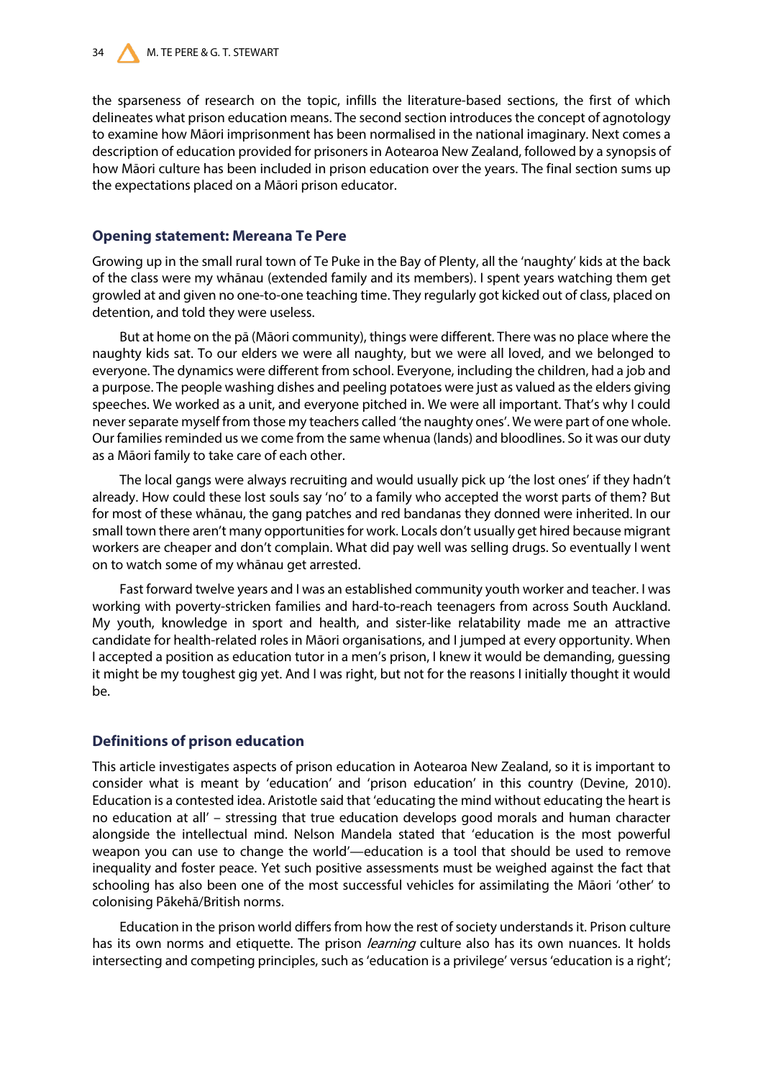the sparseness of research on the topic, infills the literature-based sections, the first of which delineates what prison education means. The second section introduces the concept of agnotology to examine how Māori imprisonment has been normalised in the national imaginary. Next comes a description of education provided for prisoners in Aotearoa New Zealand, followed by a synopsis of how Māori culture has been included in prison education over the years. The final section sums up the expectations placed on a Māori prison educator.

## **Opening statement: Mereana Te Pere**

Growing up in the small rural town of Te Puke in the Bay of Plenty, all the 'naughty' kids at the back of the class were my whānau (extended family and its members). I spent years watching them get growled at and given no one-to-one teaching time. They regularly got kicked out of class, placed on detention, and told they were useless.

But at home on the pā (Māori community), things were different. There was no place where the naughty kids sat. To our elders we were all naughty, but we were all loved, and we belonged to everyone. The dynamics were different from school. Everyone, including the children, had a job and a purpose. The people washing dishes and peeling potatoes were just as valued as the elders giving speeches. We worked as a unit, and everyone pitched in. We were all important. That's why I could never separate myself from those my teachers called 'the naughty ones'. We were part of one whole. Our families reminded us we come from the same whenua (lands) and bloodlines. So it was our duty as a Māori family to take care of each other.

The local gangs were always recruiting and would usually pick up 'the lost ones' if they hadn't already. How could these lost souls say 'no' to a family who accepted the worst parts of them? But for most of these whānau, the gang patches and red bandanas they donned were inherited. In our small town there aren't many opportunities for work. Locals don't usually get hired because migrant workers are cheaper and don't complain. What did pay well was selling drugs. So eventually I went on to watch some of my whānau get arrested.

Fast forward twelve years and I was an established community youth worker and teacher. I was working with poverty-stricken families and hard-to-reach teenagers from across South Auckland. My youth, knowledge in sport and health, and sister-like relatability made me an attractive candidate for health-related roles in Māori organisations, and I jumped at every opportunity. When I accepted a position as education tutor in a men's prison, I knew it would be demanding, guessing it might be my toughest gig yet. And I was right, but not for the reasons I initially thought it would be.

# **Definitions of prison education**

This article investigates aspects of prison education in Aotearoa New Zealand, so it is important to consider what is meant by 'education' and 'prison education' in this country (Devine, 2010). Education is a contested idea. Aristotle said that 'educating the mind without educating the heart is no education at all' – stressing that true education develops good morals and human character alongside the intellectual mind. Nelson Mandela stated that 'education is the most powerful weapon you can use to change the world'—education is a tool that should be used to remove inequality and foster peace. Yet such positive assessments must be weighed against the fact that schooling has also been one of the most successful vehicles for assimilating the Māori 'other' to colonising Pākehā/British norms.

Education in the prison world differs from how the rest of society understands it. Prison culture has its own norms and etiquette. The prison *learning* culture also has its own nuances. It holds intersecting and competing principles, such as 'education is a privilege' versus 'education is a right';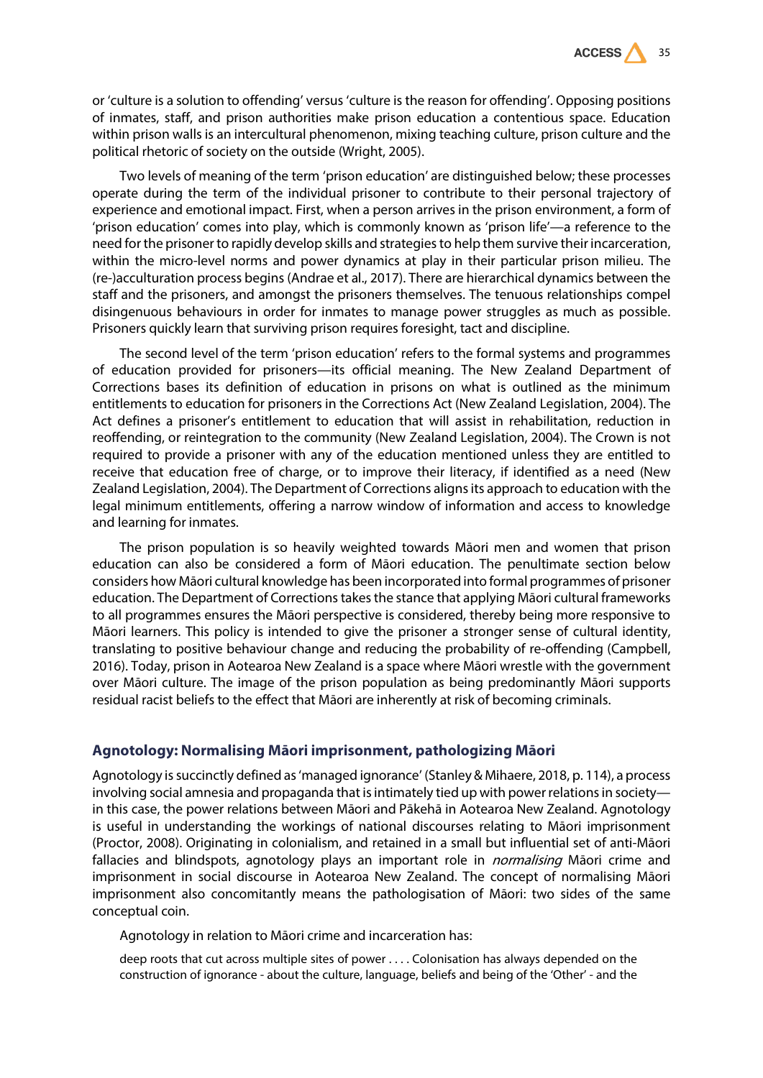

or 'culture is a solution to offending' versus 'culture is the reason for offending'. Opposing positions of inmates, staff, and prison authorities make prison education a contentious space. Education within prison walls is an intercultural phenomenon, mixing teaching culture, prison culture and the political rhetoric of society on the outside (Wright, 2005).

Two levels of meaning of the term 'prison education' are distinguished below; these processes operate during the term of the individual prisoner to contribute to their personal trajectory of experience and emotional impact. First, when a person arrives in the prison environment, a form of 'prison education' comes into play, which is commonly known as 'prison life'—a reference to the need for the prisoner to rapidly develop skills and strategies to help them survive their incarceration, within the micro-level norms and power dynamics at play in their particular prison milieu. The (re-)acculturation process begins (Andrae et al., 2017). There are hierarchical dynamics between the staff and the prisoners, and amongst the prisoners themselves. The tenuous relationships compel disingenuous behaviours in order for inmates to manage power struggles as much as possible. Prisoners quickly learn that surviving prison requires foresight, tact and discipline.

The second level of the term 'prison education' refers to the formal systems and programmes of education provided for prisoners—its official meaning. The New Zealand Department of Corrections bases its definition of education in prisons on what is outlined as the minimum entitlements to education for prisoners in the Corrections Act (New Zealand Legislation, 2004). The Act defines a prisoner's entitlement to education that will assist in rehabilitation, reduction in reoffending, or reintegration to the community (New Zealand Legislation, 2004). The Crown is not required to provide a prisoner with any of the education mentioned unless they are entitled to receive that education free of charge, or to improve their literacy, if identified as a need (New Zealand Legislation, 2004). The Department of Corrections aligns its approach to education with the legal minimum entitlements, offering a narrow window of information and access to knowledge and learning for inmates.

The prison population is so heavily weighted towards Māori men and women that prison education can also be considered a form of Māori education. The penultimate section below considers how Māori cultural knowledge has been incorporated into formal programmes of prisoner education. The Department of Corrections takes the stance that applying Māori cultural frameworks to all programmes ensures the Māori perspective is considered, thereby being more responsive to Māori learners. This policy is intended to give the prisoner a stronger sense of cultural identity, translating to positive behaviour change and reducing the probability of re-offending (Campbell, 2016). Today, prison in Aotearoa New Zealand is a space where Māori wrestle with the government over Māori culture. The image of the prison population as being predominantly Māori supports residual racist beliefs to the effect that Māori are inherently at risk of becoming criminals.

### **Agnotology: Normalising Māori imprisonment, pathologizing Māori**

Agnotology is succinctly defined as 'managed ignorance' (Stanley & Mihaere, 2018, p. 114), a process involving social amnesia and propaganda that is intimately tied up with power relations in society in this case, the power relations between Māori and Pākehā in Aotearoa New Zealand. Agnotology is useful in understanding the workings of national discourses relating to Māori imprisonment (Proctor, 2008). Originating in colonialism, and retained in a small but influential set of anti-Māori fallacies and blindspots, agnotology plays an important role in *normalising* Māori crime and imprisonment in social discourse in Aotearoa New Zealand. The concept of normalising Māori imprisonment also concomitantly means the pathologisation of Māori: two sides of the same conceptual coin.

Agnotology in relation to Māori crime and incarceration has:

deep roots that cut across multiple sites of power . . . . Colonisation has always depended on the construction of ignorance - about the culture, language, beliefs and being of the 'Other' - and the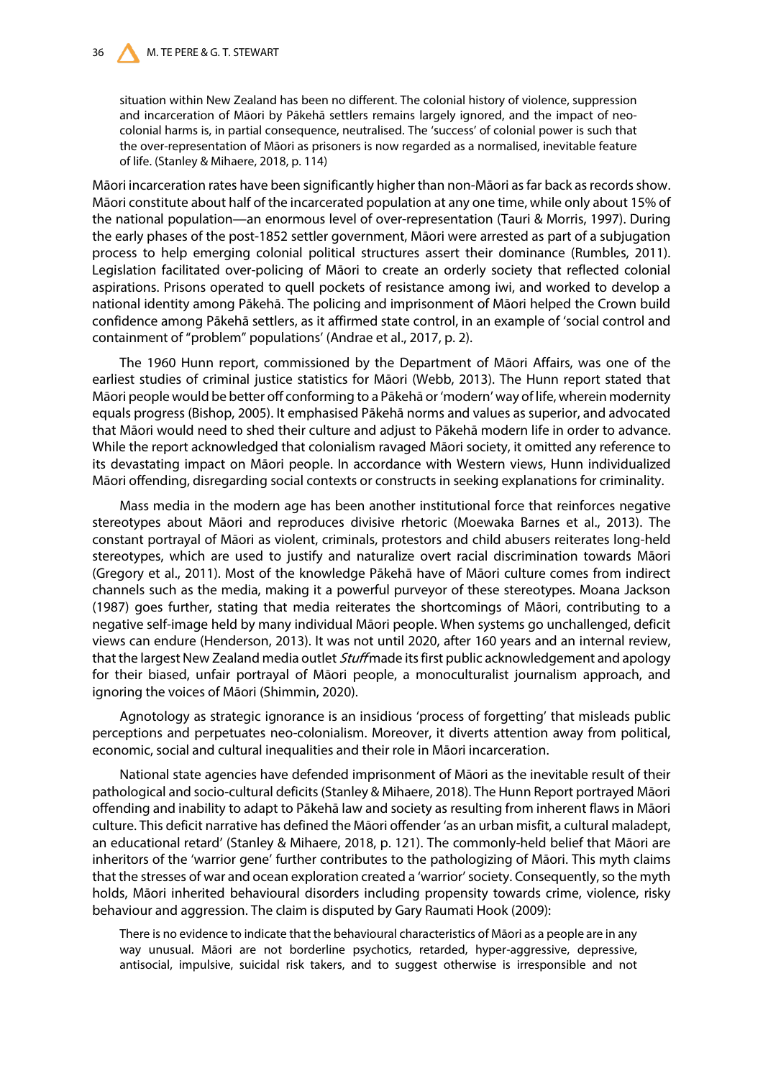situation within New Zealand has been no different. The colonial history of violence, suppression and incarceration of Māori by Pākehā settlers remains largely ignored, and the impact of neocolonial harms is, in partial consequence, neutralised. The 'success' of colonial power is such that the over-representation of Māori as prisoners is now regarded as a normalised, inevitable feature of life. (Stanley & Mihaere, 2018, p. 114)

Māori incarceration rates have been significantly higher than non-Māori as far back as records show. Māori constitute about half of the incarcerated population at any one time, while only about 15% of the national population—an enormous level of over-representation (Tauri & Morris, 1997). During the early phases of the post-1852 settler government, Māori were arrested as part of a subjugation process to help emerging colonial political structures assert their dominance (Rumbles, 2011). Legislation facilitated over-policing of Māori to create an orderly society that reflected colonial aspirations. Prisons operated to quell pockets of resistance among iwi, and worked to develop a national identity among Pākehā. The policing and imprisonment of Māori helped the Crown build confidence among Pākehā settlers, as it affirmed state control, in an example of 'social control and containment of "problem" populations' (Andrae et al., 2017, p. 2).

The 1960 Hunn report, commissioned by the Department of Māori Affairs, was one of the earliest studies of criminal justice statistics for Māori (Webb, 2013). The Hunn report stated that Māori people would be better off conforming to a Pākehā or 'modern' way of life, wherein modernity equals progress (Bishop, 2005). It emphasised Pākehā norms and values as superior, and advocated that Māori would need to shed their culture and adjust to Pākehā modern life in order to advance. While the report acknowledged that colonialism ravaged Māori society, it omitted any reference to its devastating impact on Māori people. In accordance with Western views, Hunn individualized Māori offending, disregarding social contexts or constructs in seeking explanations for criminality.

Mass media in the modern age has been another institutional force that reinforces negative stereotypes about Māori and reproduces divisive rhetoric (Moewaka Barnes et al., 2013). The constant portrayal of Māori as violent, criminals, protestors and child abusers reiterates long-held stereotypes, which are used to justify and naturalize overt racial discrimination towards Māori (Gregory et al., 2011). Most of the knowledge Pākehā have of Māori culture comes from indirect channels such as the media, making it a powerful purveyor of these stereotypes. Moana Jackson (1987) goes further, stating that media reiterates the shortcomings of Māori, contributing to a negative self-image held by many individual Māori people. When systems go unchallenged, deficit views can endure (Henderson, 2013). It was not until 2020, after 160 years and an internal review, that the largest New Zealand media outlet *Stuff* made its first public acknowledgement and apology for their biased, unfair portrayal of Māori people, a monoculturalist journalism approach, and ignoring the voices of Māori (Shimmin, 2020).

Agnotology as strategic ignorance is an insidious 'process of forgetting' that misleads public perceptions and perpetuates neo-colonialism. Moreover, it diverts attention away from political, economic, social and cultural inequalities and their role in Māori incarceration.

National state agencies have defended imprisonment of Māori as the inevitable result of their pathological and socio-cultural deficits (Stanley & Mihaere, 2018). The Hunn Report portrayed Māori offending and inability to adapt to Pākehā law and society as resulting from inherent flaws in Māori culture. This deficit narrative has defined the Māori offender 'as an urban misfit, a cultural maladept, an educational retard' (Stanley & Mihaere, 2018, p. 121). The commonly-held belief that Māori are inheritors of the 'warrior gene' further contributes to the pathologizing of Māori. This myth claims that the stresses of war and ocean exploration created a 'warrior' society. Consequently, so the myth holds, Māori inherited behavioural disorders including propensity towards crime, violence, risky behaviour and aggression. The claim is disputed by Gary Raumati Hook (2009):

There is no evidence to indicate that the behavioural characteristics of Māori as a people are in any way unusual. Māori are not borderline psychotics, retarded, hyper-aggressive, depressive, antisocial, impulsive, suicidal risk takers, and to suggest otherwise is irresponsible and not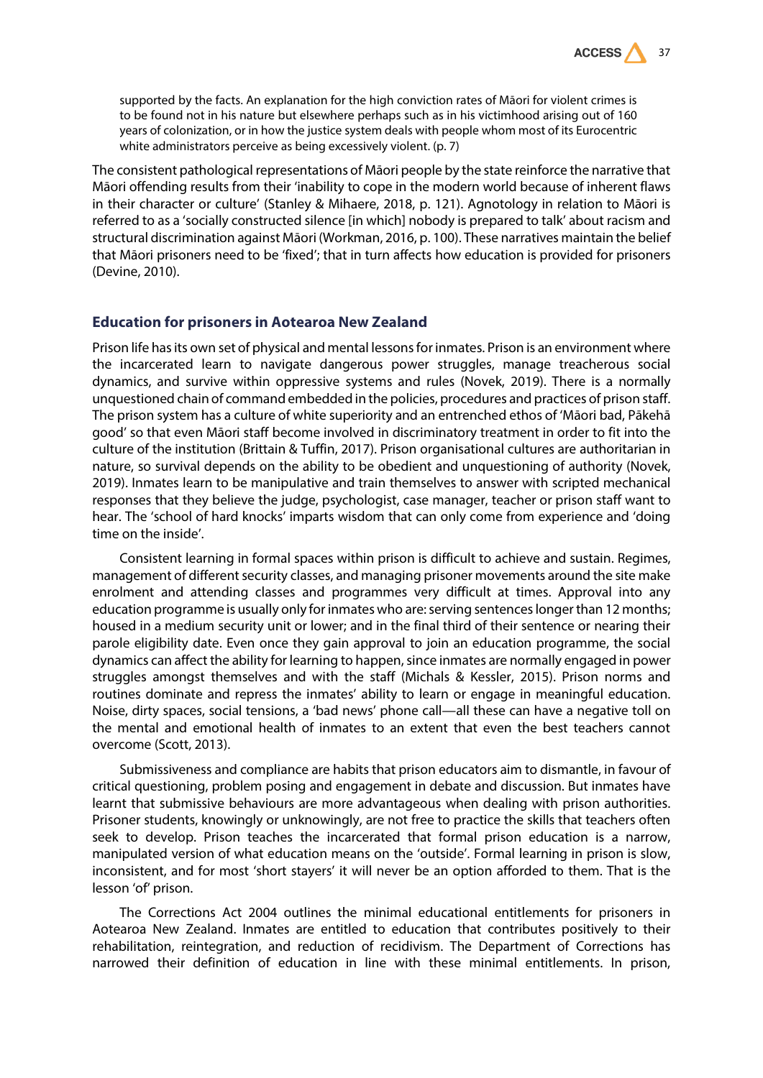

supported by the facts. An explanation for the high conviction rates of Māori for violent crimes is to be found not in his nature but elsewhere perhaps such as in his victimhood arising out of 160 years of colonization, or in how the justice system deals with people whom most of its Eurocentric white administrators perceive as being excessively violent. (p. 7)

The consistent pathological representations of Māori people by the state reinforce the narrative that Māori offending results from their 'inability to cope in the modern world because of inherent flaws in their character or culture' (Stanley & Mihaere, 2018, p. 121). Agnotology in relation to Māori is referred to as a 'socially constructed silence [in which] nobody is prepared to talk' about racism and structural discrimination against Māori (Workman, 2016, p. 100). These narratives maintain the belief that Māori prisoners need to be 'fixed'; that in turn affects how education is provided for prisoners (Devine, 2010).

#### **Education for prisoners in Aotearoa New Zealand**

Prison life has its own set of physical and mental lessons for inmates. Prison is an environment where the incarcerated learn to navigate dangerous power struggles, manage treacherous social dynamics, and survive within oppressive systems and rules (Novek, 2019). There is a normally unquestioned chain of command embedded in the policies, procedures and practices of prison staff. The prison system has a culture of white superiority and an entrenched ethos of 'Māori bad, Pākehā good' so that even Māori staff become involved in discriminatory treatment in order to fit into the culture of the institution (Brittain & Tuffin, 2017). Prison organisational cultures are authoritarian in nature, so survival depends on the ability to be obedient and unquestioning of authority (Novek, 2019). Inmates learn to be manipulative and train themselves to answer with scripted mechanical responses that they believe the judge, psychologist, case manager, teacher or prison staff want to hear. The 'school of hard knocks' imparts wisdom that can only come from experience and 'doing time on the inside'.

Consistent learning in formal spaces within prison is difficult to achieve and sustain. Regimes, management of different security classes, and managing prisoner movements around the site make enrolment and attending classes and programmes very difficult at times. Approval into any education programme is usually only for inmates who are: serving sentences longer than 12 months; housed in a medium security unit or lower; and in the final third of their sentence or nearing their parole eligibility date. Even once they gain approval to join an education programme, the social dynamics can affect the ability for learning to happen, since inmates are normally engaged in power struggles amongst themselves and with the staff (Michals & Kessler, 2015). Prison norms and routines dominate and repress the inmates' ability to learn or engage in meaningful education. Noise, dirty spaces, social tensions, a 'bad news' phone call—all these can have a negative toll on the mental and emotional health of inmates to an extent that even the best teachers cannot overcome (Scott, 2013).

Submissiveness and compliance are habits that prison educators aim to dismantle, in favour of critical questioning, problem posing and engagement in debate and discussion. But inmates have learnt that submissive behaviours are more advantageous when dealing with prison authorities. Prisoner students, knowingly or unknowingly, are not free to practice the skills that teachers often seek to develop. Prison teaches the incarcerated that formal prison education is a narrow, manipulated version of what education means on the 'outside'. Formal learning in prison is slow, inconsistent, and for most 'short stayers' it will never be an option afforded to them. That is the lesson 'of' prison.

The Corrections Act 2004 outlines the minimal educational entitlements for prisoners in Aotearoa New Zealand. Inmates are entitled to education that contributes positively to their rehabilitation, reintegration, and reduction of recidivism. The Department of Corrections has narrowed their definition of education in line with these minimal entitlements. In prison,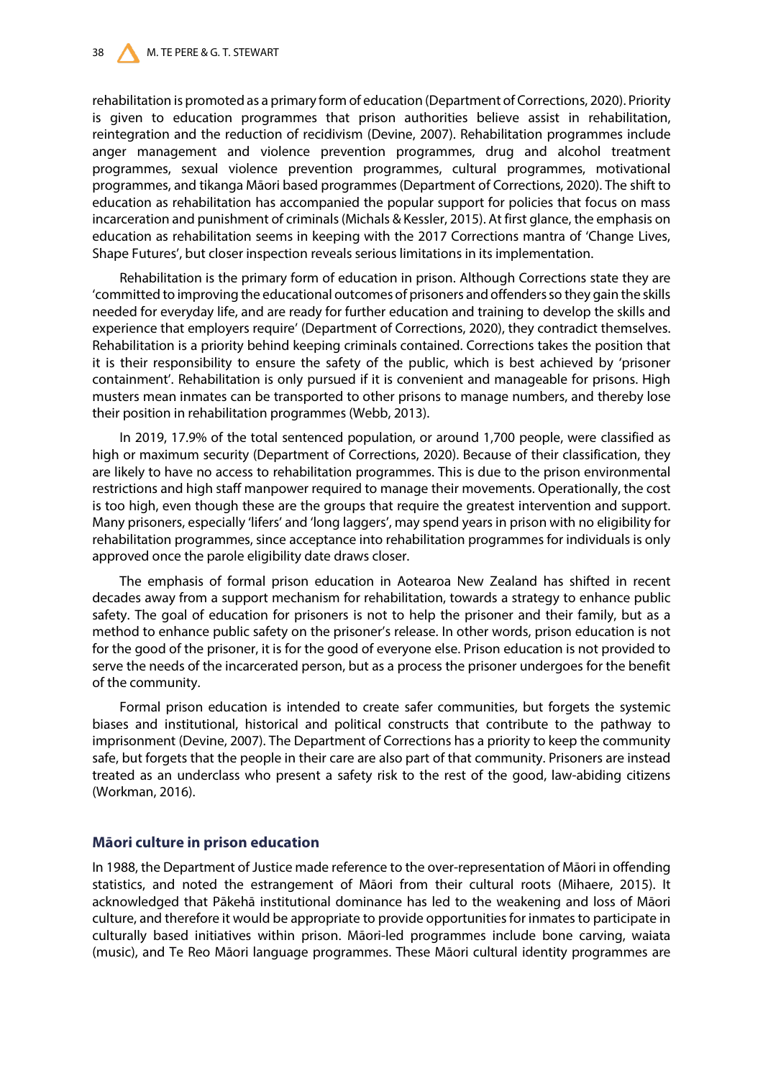### 38 M. TE PERE & G. T. STEWART

rehabilitation is promoted as a primary form of education (Department of Corrections, 2020). Priority is given to education programmes that prison authorities believe assist in rehabilitation, reintegration and the reduction of recidivism (Devine, 2007). Rehabilitation programmes include anger management and violence prevention programmes, drug and alcohol treatment programmes, sexual violence prevention programmes, cultural programmes, motivational programmes, and tikanga Māori based programmes (Department of Corrections, 2020). The shift to education as rehabilitation has accompanied the popular support for policies that focus on mass incarceration and punishment of criminals (Michals & Kessler, 2015). At first glance, the emphasis on education as rehabilitation seems in keeping with the 2017 Corrections mantra of 'Change Lives, Shape Futures', but closer inspection reveals serious limitations in its implementation.

Rehabilitation is the primary form of education in prison. Although Corrections state they are 'committed to improving the educational outcomes of prisoners and offenders so they gain the skills needed for everyday life, and are ready for further education and training to develop the skills and experience that employers require' (Department of Corrections, 2020), they contradict themselves. Rehabilitation is a priority behind keeping criminals contained. Corrections takes the position that it is their responsibility to ensure the safety of the public, which is best achieved by 'prisoner containment'. Rehabilitation is only pursued if it is convenient and manageable for prisons. High musters mean inmates can be transported to other prisons to manage numbers, and thereby lose their position in rehabilitation programmes (Webb, 2013).

In 2019, 17.9% of the total sentenced population, or around 1,700 people, were classified as high or maximum security (Department of Corrections, 2020). Because of their classification, they are likely to have no access to rehabilitation programmes. This is due to the prison environmental restrictions and high staff manpower required to manage their movements. Operationally, the cost is too high, even though these are the groups that require the greatest intervention and support. Many prisoners, especially 'lifers' and 'long laggers', may spend years in prison with no eligibility for rehabilitation programmes, since acceptance into rehabilitation programmes for individuals is only approved once the parole eligibility date draws closer.

The emphasis of formal prison education in Aotearoa New Zealand has shifted in recent decades away from a support mechanism for rehabilitation, towards a strategy to enhance public safety. The goal of education for prisoners is not to help the prisoner and their family, but as a method to enhance public safety on the prisoner's release. In other words, prison education is not for the good of the prisoner, it is for the good of everyone else. Prison education is not provided to serve the needs of the incarcerated person, but as a process the prisoner undergoes for the benefit of the community.

Formal prison education is intended to create safer communities, but forgets the systemic biases and institutional, historical and political constructs that contribute to the pathway to imprisonment (Devine, 2007). The Department of Corrections has a priority to keep the community safe, but forgets that the people in their care are also part of that community. Prisoners are instead treated as an underclass who present a safety risk to the rest of the good, law-abiding citizens (Workman, 2016).

## **Māori culture in prison education**

In 1988, the Department of Justice made reference to the over-representation of Māori in offending statistics, and noted the estrangement of Māori from their cultural roots (Mihaere, 2015). It acknowledged that Pākehā institutional dominance has led to the weakening and loss of Māori culture, and therefore it would be appropriate to provide opportunities for inmates to participate in culturally based initiatives within prison. Māori-led programmes include bone carving, waiata (music), and Te Reo Māori language programmes. These Māori cultural identity programmes are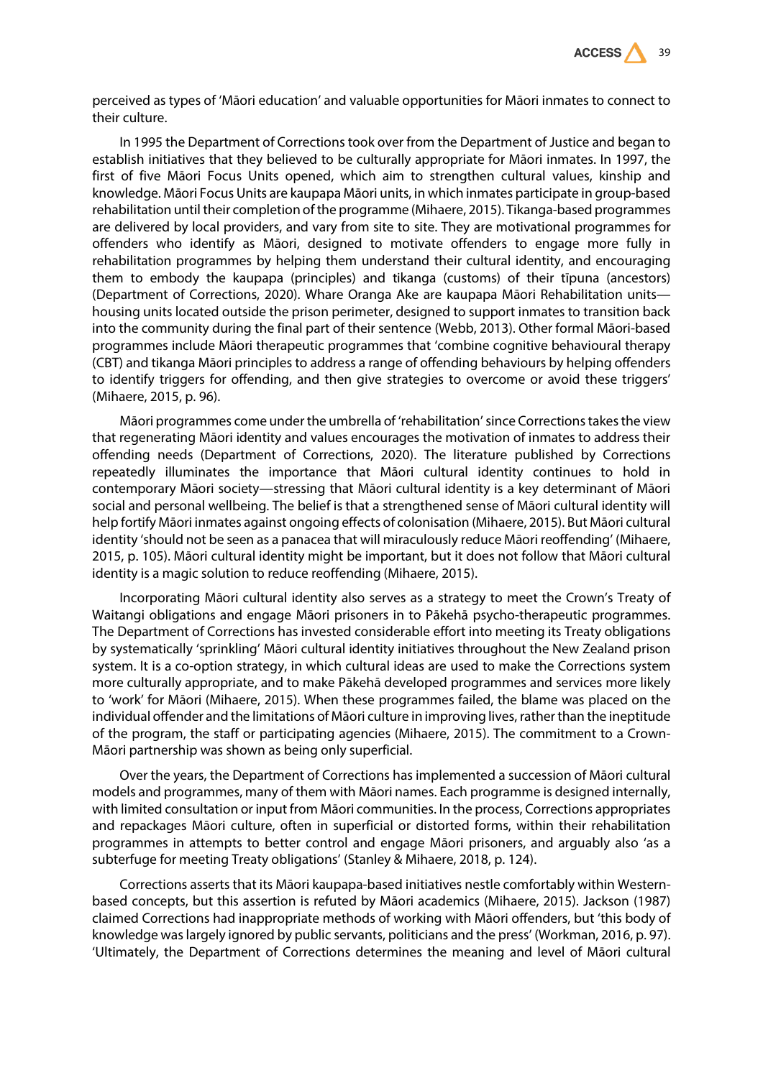

perceived as types of 'Māori education' and valuable opportunities for Māori inmates to connect to their culture.

In 1995 the Department of Corrections took over from the Department of Justice and began to establish initiatives that they believed to be culturally appropriate for Māori inmates. In 1997, the first of five Māori Focus Units opened, which aim to strengthen cultural values, kinship and knowledge. Māori Focus Units are kaupapa Māori units, in which inmates participate in group-based rehabilitation until their completion of the programme (Mihaere, 2015). Tikanga-based programmes are delivered by local providers, and vary from site to site. They are motivational programmes for offenders who identify as Māori, designed to motivate offenders to engage more fully in rehabilitation programmes by helping them understand their cultural identity, and encouraging them to embody the kaupapa (principles) and tikanga (customs) of their tīpuna (ancestors) (Department of Corrections, 2020). Whare Oranga Ake are kaupapa Māori Rehabilitation units housing units located outside the prison perimeter, designed to support inmates to transition back into the community during the final part of their sentence (Webb, 2013). Other formal Māori-based programmes include Māori therapeutic programmes that 'combine cognitive behavioural therapy (CBT) and tikanga Māori principles to address a range of offending behaviours by helping offenders to identify triggers for offending, and then give strategies to overcome or avoid these triggers' (Mihaere, 2015, p. 96).

Māori programmes come under the umbrella of 'rehabilitation' since Corrections takes the view that regenerating Māori identity and values encourages the motivation of inmates to address their offending needs (Department of Corrections, 2020). The literature published by Corrections repeatedly illuminates the importance that Māori cultural identity continues to hold in contemporary Māori society—stressing that Māori cultural identity is a key determinant of Māori social and personal wellbeing. The belief is that a strengthened sense of Māori cultural identity will help fortify Māori inmates against ongoing effects of colonisation (Mihaere, 2015). But Māori cultural identity 'should not be seen as a panacea that will miraculously reduce Māori reoffending' (Mihaere, 2015, p. 105). Māori cultural identity might be important, but it does not follow that Māori cultural identity is a magic solution to reduce reoffending (Mihaere, 2015).

Incorporating Māori cultural identity also serves as a strategy to meet the Crown's Treaty of Waitangi obligations and engage Māori prisoners in to Pākehā psycho-therapeutic programmes. The Department of Corrections has invested considerable effort into meeting its Treaty obligations by systematically 'sprinkling' Māori cultural identity initiatives throughout the New Zealand prison system. It is a co-option strategy, in which cultural ideas are used to make the Corrections system more culturally appropriate, and to make Pākehā developed programmes and services more likely to 'work' for Māori (Mihaere, 2015). When these programmes failed, the blame was placed on the individual offender and the limitations of Māori culture in improving lives, rather than the ineptitude of the program, the staff or participating agencies (Mihaere, 2015). The commitment to a Crown-Māori partnership was shown as being only superficial.

Over the years, the Department of Corrections has implemented a succession of Māori cultural models and programmes, many of them with Māori names. Each programme is designed internally, with limited consultation or input from Māori communities. In the process, Corrections appropriates and repackages Māori culture, often in superficial or distorted forms, within their rehabilitation programmes in attempts to better control and engage Māori prisoners, and arguably also 'as a subterfuge for meeting Treaty obligations' (Stanley & Mihaere, 2018, p. 124).

Corrections asserts that its Māori kaupapa-based initiatives nestle comfortably within Westernbased concepts, but this assertion is refuted by Māori academics (Mihaere, 2015). Jackson (1987) claimed Corrections had inappropriate methods of working with Māori offenders, but 'this body of knowledge was largely ignored by public servants, politicians and the press' (Workman, 2016, p. 97). 'Ultimately, the Department of Corrections determines the meaning and level of Māori cultural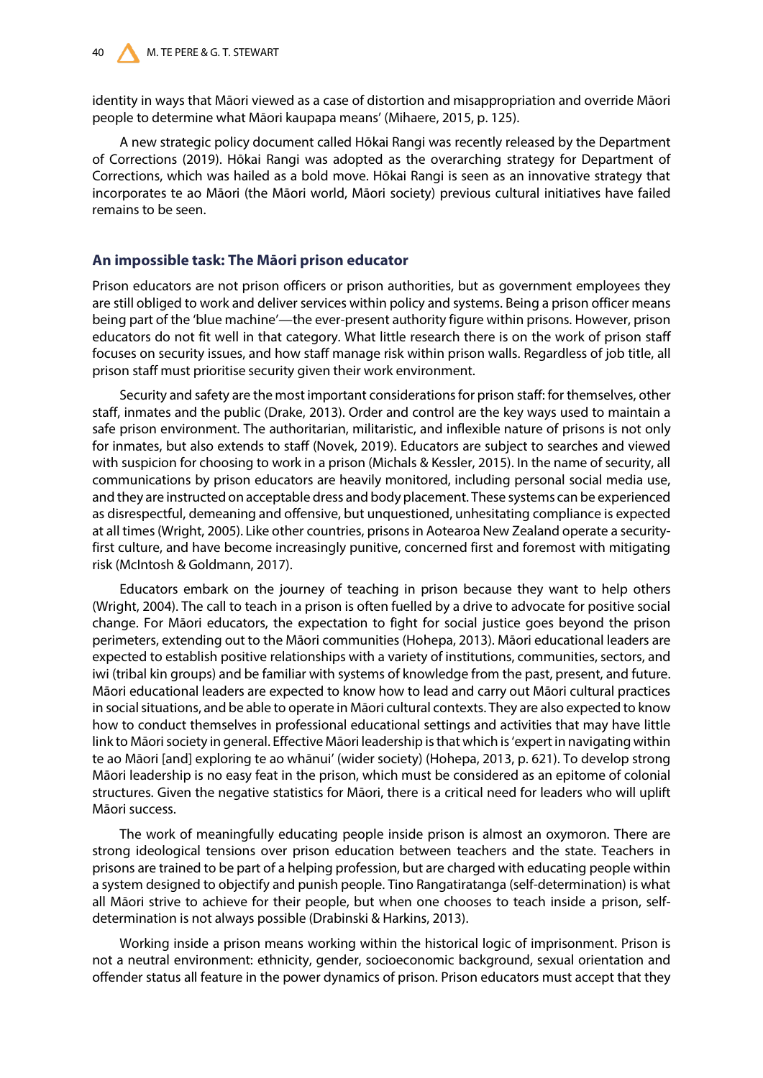identity in ways that Māori viewed as a case of distortion and misappropriation and override Māori people to determine what Māori kaupapa means' (Mihaere, 2015, p. 125).

A new strategic policy document called Hōkai Rangi was recently released by the Department of Corrections (2019). Hōkai Rangi was adopted as the overarching strategy for Department of Corrections, which was hailed as a bold move. Hōkai Rangi is seen as an innovative strategy that incorporates te ao Māori (the Māori world, Māori society) previous cultural initiatives have failed remains to be seen.

# **An impossible task: The Māori prison educator**

Prison educators are not prison officers or prison authorities, but as government employees they are still obliged to work and deliver services within policy and systems. Being a prison officer means being part of the 'blue machine'—the ever-present authority figure within prisons. However, prison educators do not fit well in that category. What little research there is on the work of prison staff focuses on security issues, and how staff manage risk within prison walls. Regardless of job title, all prison staff must prioritise security given their work environment.

Security and safety are the most important considerations for prison staff: for themselves, other staff, inmates and the public (Drake, 2013). Order and control are the key ways used to maintain a safe prison environment. The authoritarian, militaristic, and inflexible nature of prisons is not only for inmates, but also extends to staff (Novek, 2019). Educators are subject to searches and viewed with suspicion for choosing to work in a prison (Michals & Kessler, 2015). In the name of security, all communications by prison educators are heavily monitored, including personal social media use, and they are instructed on acceptable dress and body placement. These systems can be experienced as disrespectful, demeaning and offensive, but unquestioned, unhesitating compliance is expected at all times (Wright, 2005). Like other countries, prisons in Aotearoa New Zealand operate a securityfirst culture, and have become increasingly punitive, concerned first and foremost with mitigating risk (McIntosh & Goldmann, 2017).

Educators embark on the journey of teaching in prison because they want to help others (Wright, 2004). The call to teach in a prison is often fuelled by a drive to advocate for positive social change. For Māori educators, the expectation to fight for social justice goes beyond the prison perimeters, extending out to the Māori communities (Hohepa, 2013). Māori educational leaders are expected to establish positive relationships with a variety of institutions, communities, sectors, and iwi (tribal kin groups) and be familiar with systems of knowledge from the past, present, and future. Māori educational leaders are expected to know how to lead and carry out Māori cultural practices in social situations, and be able to operate in Māori cultural contexts. They are also expected to know how to conduct themselves in professional educational settings and activities that may have little link to Māori society in general. Effective Māori leadership is that which is 'expert in navigating within te ao Māori [and] exploring te ao whānui' (wider society) (Hohepa, 2013, p. 621). To develop strong Māori leadership is no easy feat in the prison, which must be considered as an epitome of colonial structures. Given the negative statistics for Māori, there is a critical need for leaders who will uplift Māori success.

The work of meaningfully educating people inside prison is almost an oxymoron. There are strong ideological tensions over prison education between teachers and the state. Teachers in prisons are trained to be part of a helping profession, but are charged with educating people within a system designed to objectify and punish people. Tino Rangatiratanga (self-determination) is what all Māori strive to achieve for their people, but when one chooses to teach inside a prison, selfdetermination is not always possible (Drabinski & Harkins, 2013).

Working inside a prison means working within the historical logic of imprisonment. Prison is not a neutral environment: ethnicity, gender, socioeconomic background, sexual orientation and offender status all feature in the power dynamics of prison. Prison educators must accept that they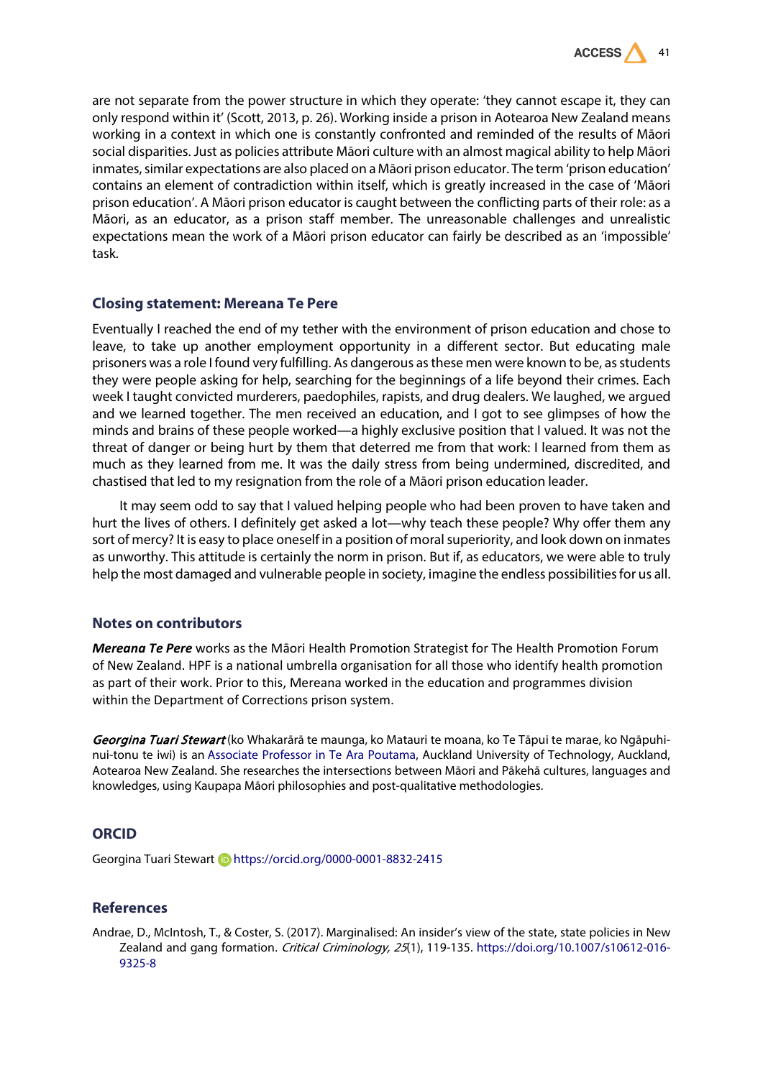

are not separate from the power structure in which they operate: 'they cannot escape it, they can only respond within it' (Scott, 2013, p. 26). Working inside a prison in Aotearoa New Zealand means working in a context in which one is constantly confronted and reminded of the results of Māori social disparities. Just as policies attribute Māori culture with an almost magical ability to help Māori inmates, similar expectations are also placed on a Māori prison educator. The term 'prison education' contains an element of contradiction within itself, which is greatly increased in the case of 'Māori prison education'. A Māori prison educator is caught between the conflicting parts of their role: as a Māori, as an educator, as a prison staff member. The unreasonable challenges and unrealistic expectations mean the work of a Māori prison educator can fairly be described as an 'impossible' task.

## **Closing statement: Mereana Te Pere**

Eventually I reached the end of my tether with the environment of prison education and chose to leave, to take up another employment opportunity in a different sector. But educating male prisoners was a role I found very fulfilling. As dangerous as these men were known to be, as students they were people asking for help, searching for the beginnings of a life beyond their crimes. Each week I taught convicted murderers, paedophiles, rapists, and drug dealers. We laughed, we argued and we learned together. The men received an education, and I got to see glimpses of how the minds and brains of these people worked—a highly exclusive position that I valued. It was not the threat of danger or being hurt by them that deterred me from that work: I learned from them as much as they learned from me. It was the daily stress from being undermined, discredited, and chastised that led to my resignation from the role of a Māori prison education leader.

It may seem odd to say that I valued helping people who had been proven to have taken and hurt the lives of others. I definitely get asked a lot—why teach these people? Why offer them any sort of mercy? It is easy to place oneself in a position of moral superiority, and look down on inmates as unworthy. This attitude is certainly the norm in prison. But if, as educators, we were able to truly help the most damaged and vulnerable people in society, imagine the endless possibilities for us all.

### **Notes on contributors**

*Mereana Te Pere* works as the Māori Health Promotion Strategist for The Health Promotion Forum of New Zealand. HPF is a national umbrella organisation for all those who identify health promotion as part of their work. Prior to this, Mereana worked in the education and programmes division within the Department of Corrections prison system.

Georgina Tuari Stewart (ko Whakarārā te maunga, ko Matauri te moana, ko Te Tāpui te marae, ko Ngāpuhinui-tonu te iwi) is an [Associate Professor in Te Ara Poutama,](https://academics.aut.ac.nz/georgina.stewart) Auckland University of Technology, Auckland, Aotearoa New Zealand. She researches the intersections between Māori and Pākehā cultures, languages and knowledges, using Kaupapa Māori philosophies and post-qualitative methodologies.

# **ORCID**

Georgina Tuari Stewart **b** <https://orcid.org/0000-0001-8832-2415>

# **References**

Andrae, D., McIntosh, T., & Coster, S. (2017). Marginalised: An insider's view of the state, state policies in New Zealand and gang formation. Critical Criminology, 25(1), 119-135. [https://doi.org/10.1007/s10612-016-](https://doi.org/10.1007/s10612-016-9325-8) [9325-8](https://doi.org/10.1007/s10612-016-9325-8)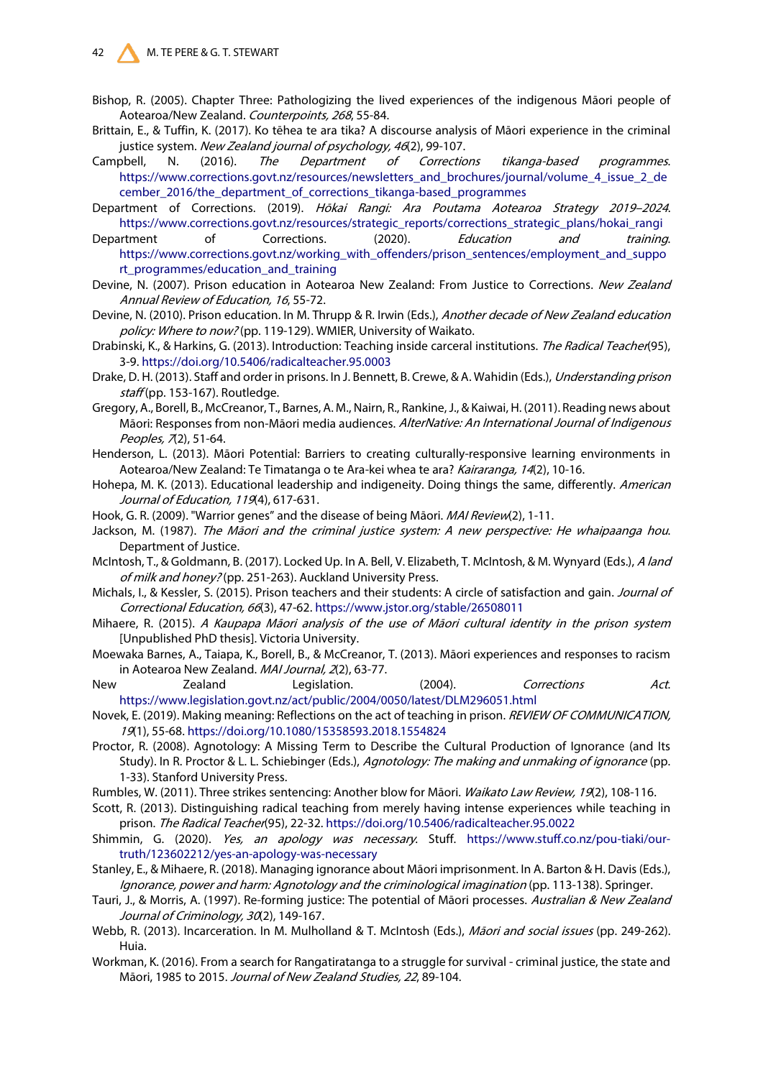- Bishop, R. (2005). Chapter Three: Pathologizing the lived experiences of the indigenous Māori people of Aotearoa/New Zealand. Counterpoints, 268, 55-84.
- Brittain, E., & Tuffin, K. (2017). Ko tēhea te ara tika? A discourse analysis of Māori experience in the criminal justice system. New Zealand journal of psychology, 46(2), 99-107.
- Campbell, N. (2016). The Department of Corrections tikanga-based programmes. [https://www.corrections.govt.nz/resources/newsletters\\_and\\_brochures/journal/volume\\_4\\_issue\\_2\\_de](https://www.corrections.govt.nz/resources/newsletters_and_brochures/journal/volume_4_issue_2_december_2016/the_department_of_corrections_tikanga-based_programmes) [cember\\_2016/the\\_department\\_of\\_corrections\\_tikanga-based\\_programmes](https://www.corrections.govt.nz/resources/newsletters_and_brochures/journal/volume_4_issue_2_december_2016/the_department_of_corrections_tikanga-based_programmes)
- Department of Corrections. (2019). Hōkai Rangi: Ara Poutama Aotearoa Strategy 2019–2024. [https://www.corrections.govt.nz/resources/strategic\\_reports/corrections\\_strategic\\_plans/hokai\\_rangi](https://www.corrections.govt.nz/resources/strategic_reports/corrections_strategic_plans/hokai_rangi)

Department of Corrections. (2020). *Education and training.* [https://www.corrections.govt.nz/working\\_with\\_offenders/prison\\_sentences/employment\\_and\\_suppo](https://www.corrections.govt.nz/working_with_offenders/prison_sentences/employment_and_support_programmes/education_and_training) [rt\\_programmes/education\\_and\\_training](https://www.corrections.govt.nz/working_with_offenders/prison_sentences/employment_and_support_programmes/education_and_training)

- Devine, N. (2007). Prison education in Aotearoa New Zealand: From Justice to Corrections. New Zealand Annual Review of Education, 16, 55-72.
- Devine, N. (2010). Prison education. In M. Thrupp & R. Irwin (Eds.), Another decade of New Zealand education policy: Where to now? (pp. 119-129). WMIER, University of Waikato.
- Drabinski, K., & Harkins, G. (2013). Introduction: Teaching inside carceral institutions. The Radical Teacher(95), 3-9.<https://doi.org/10.5406/radicalteacher.95.0003>
- Drake, D. H. (2013). Staff and order in prisons. In J. Bennett, B. Crewe, & A. Wahidin (Eds.), Understanding prison staff (pp. 153-167). Routledge.
- Gregory, A., Borell, B., McCreanor, T., Barnes, A. M., Nairn, R., Rankine, J., & Kaiwai, H. (2011). Reading news about Māori: Responses from non-Māori media audiences. AlterNative: An International Journal of Indigenous Peoples, 7(2), 51-64.
- Henderson, L. (2013). Māori Potential: Barriers to creating culturally-responsive learning environments in Aotearoa/New Zealand: Te Timatanga o te Ara-kei whea te ara? Kairaranga, 14(2), 10-16.
- Hohepa, M. K. (2013). Educational leadership and indigeneity. Doing things the same, differently. American Journal of Education, 119(4), 617-631.
- Hook, G. R. (2009). "Warrior genes" and the disease of being Māori. MAI Review(2), 1-11.
- Jackson, M. (1987). The Māori and the criminal justice system: A new perspective: He whaipaanga hou. Department of Justice.
- McIntosh, T., & Goldmann, B. (2017). Locked Up. In A. Bell, V. Elizabeth, T. McIntosh, & M. Wynyard (Eds.), A land of milk and honey? (pp. 251-263). Auckland University Press.
- Michals, I., & Kessler, S. (2015). Prison teachers and their students: A circle of satisfaction and gain. Journal of Correctional Education, 66(3), 47-62. <https://www.jstor.org/stable/26508011>
- Mihaere, R. (2015). A Kaupapa Māori analysis of the use of Māori cultural identity in the prison system [Unpublished PhD thesis]. Victoria University.
- Moewaka Barnes, A., Taiapa, K., Borell, B., & McCreanor, T. (2013). Māori experiences and responses to racism in Aotearoa New Zealand. MAI Journal, 2(2), 63-77.
- New 2ealand Legislation. (2004). Corrections Act. <https://www.legislation.govt.nz/act/public/2004/0050/latest/DLM296051.html>
- Novek, E. (2019). Making meaning: Reflections on the act of teaching in prison. REVIEW OF COMMUNICATION, <sup>19</sup>(1), 55-68[. https://doi.org/10.1080/15358593.2018.1554824](https://doi.org/10.1080/15358593.2018.1554824)
- Proctor, R. (2008). Agnotology: A Missing Term to Describe the Cultural Production of Ignorance (and Its Study). In R. Proctor & L. L. Schiebinger (Eds.), Agnotology: The making and unmaking of ignorance (pp. 1-33). Stanford University Press.
- Rumbles, W. (2011). Three strikes sentencing: Another blow for Māori. Waikato Law Review, 19(2), 108-116.
- Scott, R. (2013). Distinguishing radical teaching from merely having intense experiences while teaching in prison. The Radical Teacher(95), 22-32[. https://doi.org/10.5406/radicalteacher.95.0022](https://doi.org/10.5406/radicalteacher.95.0022)
- Shimmin, G. (2020). Yes, an apology was necessary. Stuff. [https://www.stuff.co.nz/pou-tiaki/our](https://www.stuff.co.nz/pou-tiaki/our-truth/123602212/yes-an-apology-was-necessary)[truth/123602212/yes-an-apology-was-necessary](https://www.stuff.co.nz/pou-tiaki/our-truth/123602212/yes-an-apology-was-necessary)
- Stanley, E., & Mihaere, R. (2018). Managing ignorance about Māori imprisonment. In A. Barton & H. Davis (Eds.), Ignorance, power and harm: Agnotology and the criminological imagination (pp. 113-138). Springer.
- Tauri, J., & Morris, A. (1997). Re-forming justice: The potential of Māori processes. Australian & New Zealand Journal of Criminology, 30(2), 149-167.
- Webb, R. (2013). Incarceration. In M. Mulholland & T. McIntosh (Eds.), Māori and social issues (pp. 249-262). Huia.
- Workman, K. (2016). From a search for Rangatiratanga to a struggle for survival criminal justice, the state and Māori, 1985 to 2015. Journal of New Zealand Studies, 22, 89-104.